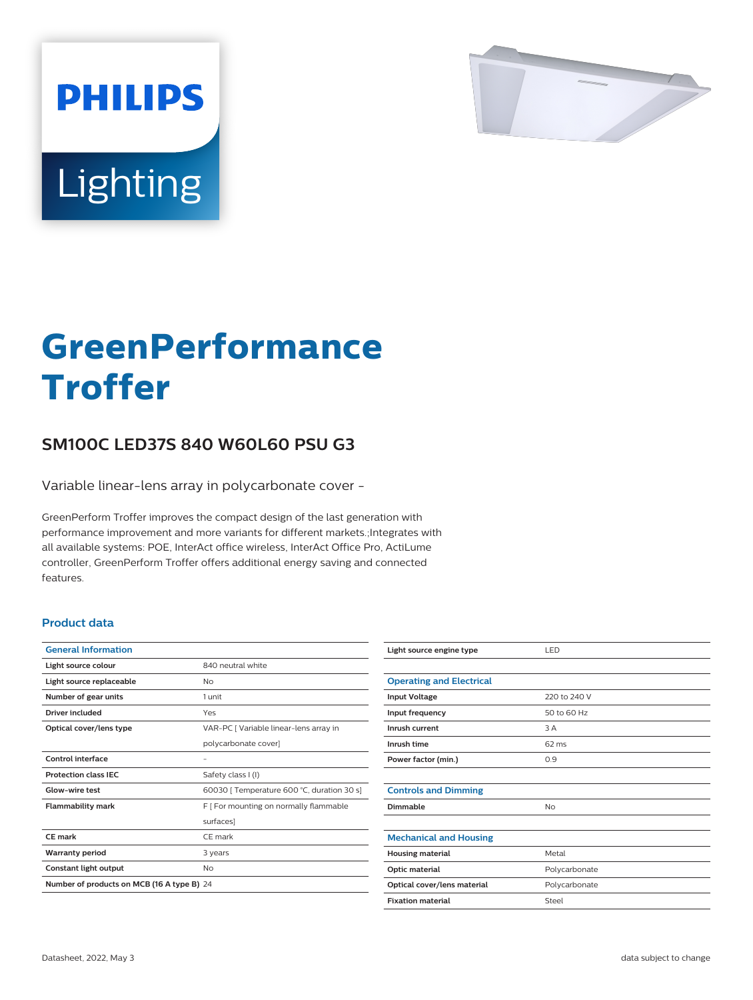

# Lighting

**PHILIPS** 

# **GreenPerformance Troffer**

## **SM100C LED37S 840 W60L60 PSU G3**

Variable linear-lens array in polycarbonate cover -

GreenPerform Troffer improves the compact design of the last generation with performance improvement and more variants for different markets.;Integrates with all available systems: POE, InterAct office wireless, InterAct Office Pro, ActiLume controller, GreenPerform Troffer offers additional energy saving and connected features.

#### **Product data**

| <b>General Information</b>                 |                                            |  |
|--------------------------------------------|--------------------------------------------|--|
| Light source colour                        | 840 neutral white                          |  |
| Light source replaceable                   | Nο                                         |  |
| Number of gear units                       | 1 unit                                     |  |
| Driver included                            | Yes                                        |  |
| Optical cover/lens type                    | VAR-PC [ Variable linear-lens array in     |  |
|                                            | polycarbonate cover]                       |  |
| Control interface                          |                                            |  |
| <b>Protection class IEC</b>                | Safety class I (I)                         |  |
| Glow-wire test                             | 60030 [ Temperature 600 °C, duration 30 s] |  |
| <b>Flammability mark</b>                   | F   For mounting on normally flammable     |  |
|                                            | surfaces]                                  |  |
| CE mark                                    | CE mark                                    |  |
| <b>Warranty period</b>                     | 3 years                                    |  |
| Constant light output                      | No                                         |  |
| Number of products on MCB (16 A type B) 24 |                                            |  |

| Light source engine type        | LED             |
|---------------------------------|-----------------|
|                                 |                 |
| <b>Operating and Electrical</b> |                 |
| <b>Input Voltage</b>            | 220 to 240 V    |
| Input frequency                 | 50 to 60 Hz     |
| Inrush current                  | 3 A             |
| Inrush time                     | $62 \text{ ms}$ |
| Power factor (min.)             | 0.9             |
|                                 |                 |
| <b>Controls and Dimming</b>     |                 |
| Dimmable                        | No              |
|                                 |                 |
| <b>Mechanical and Housing</b>   |                 |
| <b>Housing material</b>         | Metal           |
| Optic material                  | Polycarbonate   |
| Optical cover/lens material     | Polycarbonate   |
| <b>Fixation material</b>        | Steel           |
|                                 |                 |